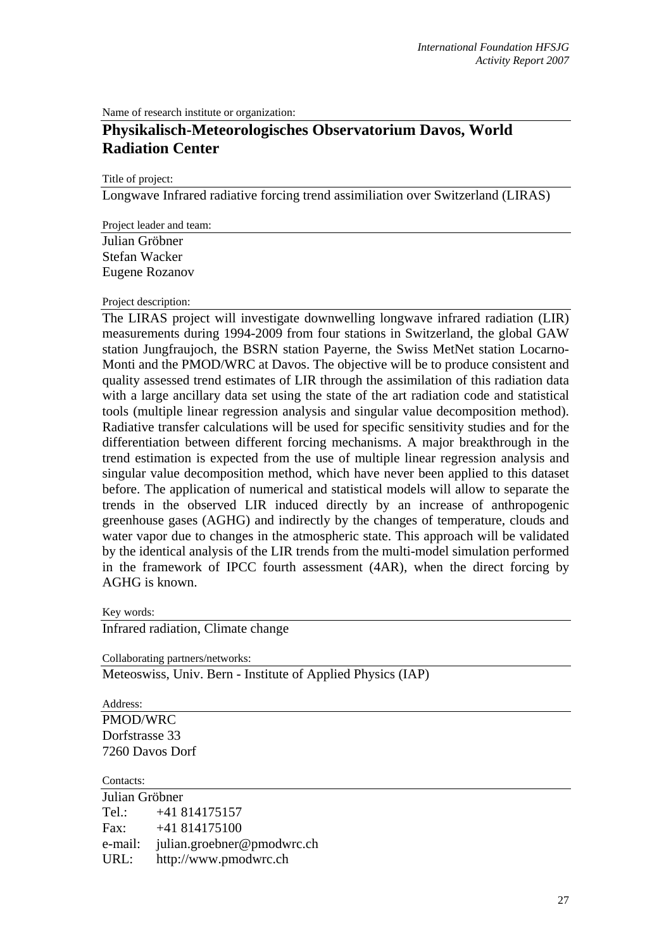Name of research institute or organization:

## **Physikalisch-Meteorologisches Observatorium Davos, World Radiation Center**

Title of project:

Longwave Infrared radiative forcing trend assimiliation over Switzerland (LIRAS)

Project leader and team:

Julian Gröbner Stefan Wacker Eugene Rozanov

## Project description:

The LIRAS project will investigate downwelling longwave infrared radiation (LIR) measurements during 1994-2009 from four stations in Switzerland, the global GAW station Jungfraujoch, the BSRN station Payerne, the Swiss MetNet station Locarno-Monti and the PMOD/WRC at Davos. The objective will be to produce consistent and quality assessed trend estimates of LIR through the assimilation of this radiation data with a large ancillary data set using the state of the art radiation code and statistical tools (multiple linear regression analysis and singular value decomposition method). Radiative transfer calculations will be used for specific sensitivity studies and for the differentiation between different forcing mechanisms. A major breakthrough in the trend estimation is expected from the use of multiple linear regression analysis and singular value decomposition method, which have never been applied to this dataset before. The application of numerical and statistical models will allow to separate the trends in the observed LIR induced directly by an increase of anthropogenic greenhouse gases (AGHG) and indirectly by the changes of temperature, clouds and water vapor due to changes in the atmospheric state. This approach will be validated by the identical analysis of the LIR trends from the multi-model simulation performed in the framework of IPCC fourth assessment (4AR), when the direct forcing by AGHG is known.

Key words:

Infrared radiation, Climate change

Collaborating partners/networks:

Meteoswiss, Univ. Bern - Institute of Applied Physics (IAP)

Address: PMOD/WRC Dorfstrasse 33 7260 Davos Dorf

Contacts:

Julian Gröbner Tel.: +41 814175157 Fax: +41 814175100 e-mail: julian.groebner@pmodwrc.ch URL: http://www.pmodwrc.ch